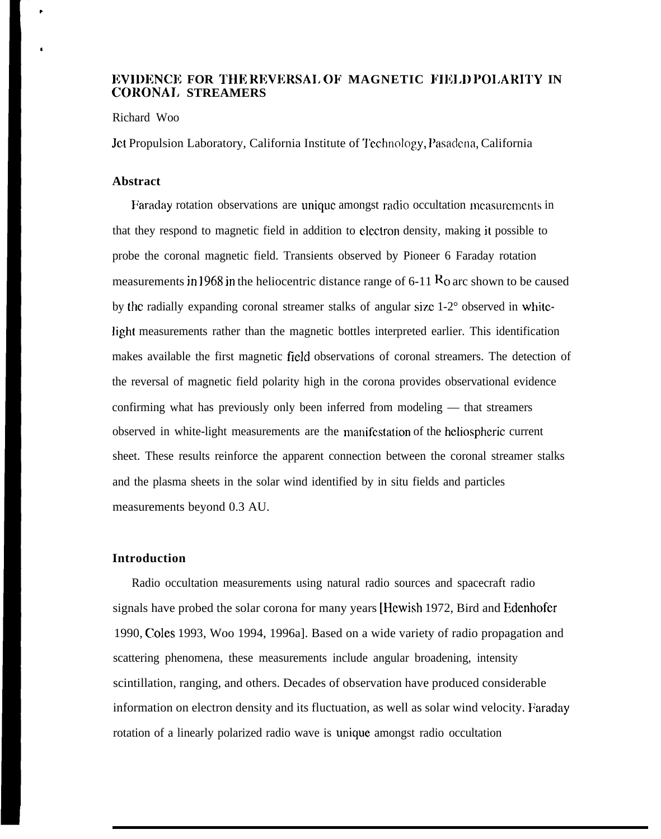# **IEVIDENCE FOR THE REVERSAL OF MAGNETIC FIELD POLARITY IN CORONA1, STREAMERS**

#### Richard Woo

Jet Propulsion Laboratory, California Institute of Technology, Pasadena, California

## **Abstract**

Faraclay rotation observations are unique amongst radio occultation mcasurcmcnts in that they respond to magnetic field in addition to electron density, making it possible to probe the coronal magnetic field. Transients observed by Pioneer 6 Faraday rotation measurements in 1968 in the heliocentric distance range of  $6-11$  Ro arc shown to be caused by the radially expanding coronal streamer stalks of angular size 1-2° observed in whitclight measurements rather than the magnetic bottles interpreted earlier. This identification makes available the first magnetic field observations of coronal streamers. The detection of the reversal of magnetic field polarity high in the corona provides observational evidence confirming what has previously only been inferred from modeling — that streamers observed in white-light measurements are the manifestation of the heliospheric current sheet. These results reinforce the apparent connection between the coronal streamer stalks and the plasma sheets in the solar wind identified by in situ fields and particles measurements beyond 0.3 AU.

## **Introduction**

Radio occultation measurements using natural radio sources and spacecraft radio signals have probed the solar corona for many years [Hewish 1972, Bird and Edenhofcr 1990, Coles 1993, Woo 1994, 1996a]. Based on a wide variety of radio propagation and scattering phenomena, these measurements include angular broadening, intensity scintillation, ranging, and others. Decades of observation have produced considerable information on electron density and its fluctuation, as well as solar wind velocity. Faraday rotation of a linearly polarized radio wave is unique amongst radio occultation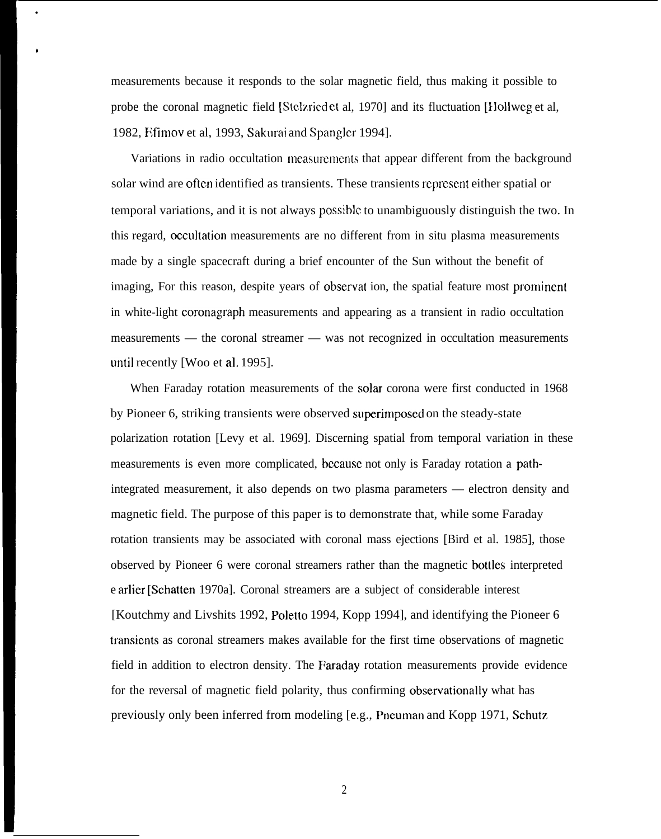measurements because it responds to the solar magnetic field, thus making it possible to probe the coronal magnetic field [Stelzriedet al, 1970] and its fluctuation [Hollweg et al, 1982, Efimov et al, 1993, Sakurai and Spangler 1994].

●

b

Variations in radio occultation measurements that appear different from the background solar wind are often identified as transients. These transients represent either spatial or temporal variations, and it is not always possible to unambiguously distinguish the two. In this regard, occultation measurements are no different from in situ plasma measurements made by a single spacecraft during a brief encounter of the Sun without the benefit of imaging, For this reason, despite years of observat ion, the spatial feature most prominent in white-light coronagraph measurements and appearing as a transient in radio occultation measurements — the coronal streamer — was not recognized in occultation measurements until recently [Woo et al. 1995].

When Faraday rotation measurements of the solar corona were first conducted in 1968 by Pioneer 6, striking transients were observed superitnposecl on the steady-state polarization rotation [Levy et al. 1969]. Discerning spatial from temporal variation in these measurements is even more complicated, beeause not only is Faraday rotation a pathintegrated measurement, it also depends on two plasma parameters — electron density and magnetic field. The purpose of this paper is to demonstrate that, while some Faraday rotation transients may be associated with coronal mass ejections [Bird et al. 1985], those observed by Pioneer 6 were coronal streamers rather than the magnetic bottles interpreted e arlier [Schatten 1970a]. Coronal streamers are a subject of considerable interest [Koutchmy and Livshits 1992, Poletto 1994, Kopp 1994], and identifying the Pioneer 6 transients as coronal streamers makes available for the first time observations of magnetic field in addition to electron density. The Faraday rotation measurements provide evidence for the reversal of magnetic field polarity, thus confirming observationally what has previously only been inferred from modeling [e.g., Pneuman and Kopp 1971, Schutz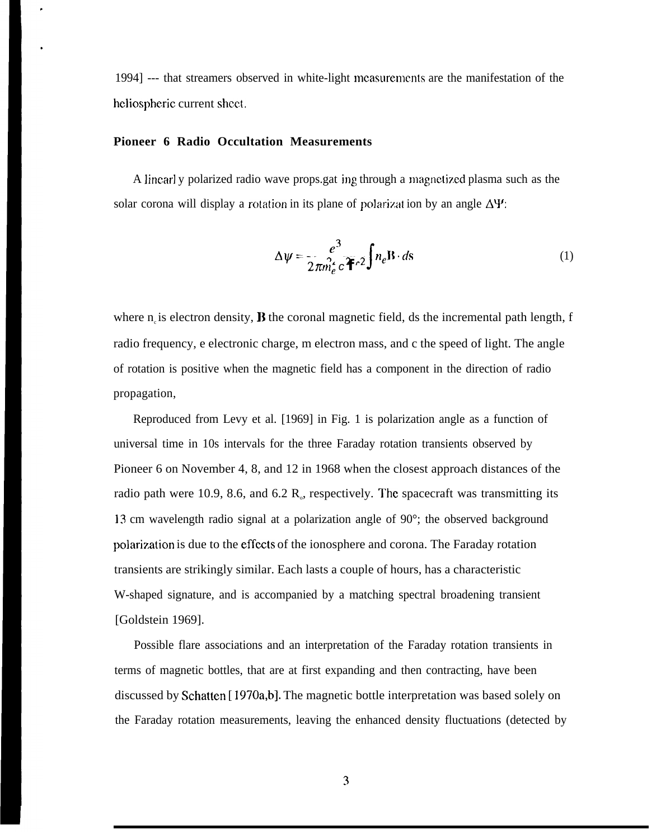1994] --- that streamers observed in white-light mcasurememts are the manifestation of the heliospheric current sheet.

## **Pioneer 6 Radio Occultation Measurements**

A linearl y polarized radio wave props.gat ing through a magnetized plasma such as the solar corona will display a rotation in its plane of polarization by an angle  $\Delta \Psi$ :

$$
\Delta \psi = \frac{e^3}{2\pi m_e^2 c^2 f^2} \int n_e \mathbf{B} \cdot d\mathbf{s}
$$
 (1)

where  $n_i$  is electron density, **B** the coronal magnetic field, ds the incremental path length, f radio frequency, e electronic charge, m electron mass, and c the speed of light. The angle of rotation is positive when the magnetic field has a component in the direction of radio propagation,

Reproduced from Levy et al. [1969] in Fig. 1 is polarization angle as a function of universal time in 10s intervals for the three Faraday rotation transients observed by Pioneer 6 on November 4, 8, and 12 in 1968 when the closest approach distances of the radio path were 10.9, 8.6, and 6.2  $R_{\circ}$ , respectively. The spacecraft was transmitting its 13 cm wavelength radio signal at a polarization angle of 90°; the observed background polarization is due to the effects of the ionosphere and corona. The Faraday rotation transients are strikingly similar. Each lasts a couple of hours, has a characteristic W-shaped signature, and is accompanied by a matching spectral broadening transient [Goldstein 1969].

Possible flare associations and an interpretation of the Faraday rotation transients in terms of magnetic bottles, that are at first expanding and then contracting, have been discussed by Schatten [ 1970a,b]. The magnetic bottle interpretation was based solely on the Faraday rotation measurements, leaving the enhanced density fluctuations (detected by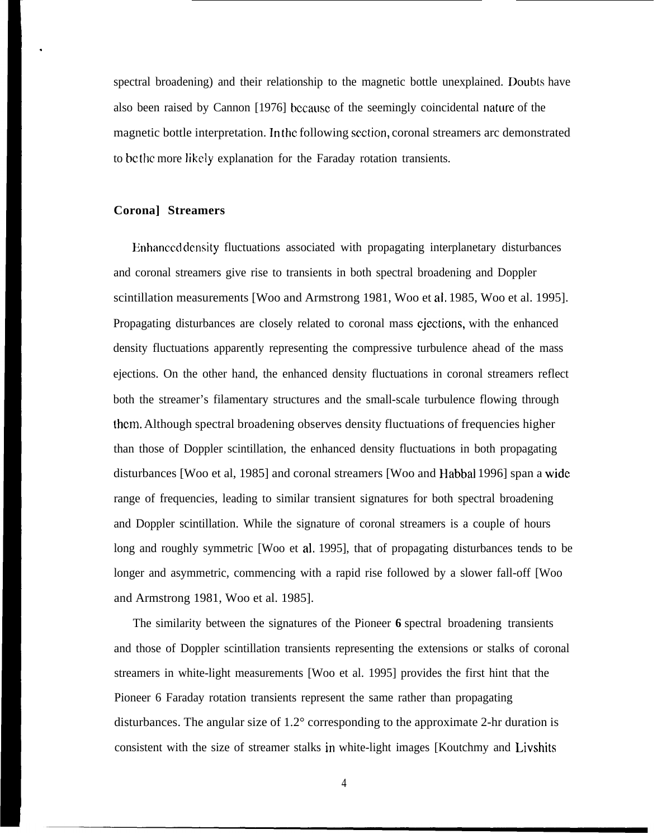spectral broadening) and their relationship to the magnetic bottle unexplained. Doubts have also been raised by Cannon [1976] bccausc of the seemingly coincidental nature of the magnetic bottle interpretation. In the following section, coronal streamers arc demonstrated to bc the more likely explanation for the Faraday rotation transients.

## **Corona] Streamers**

.

Enhanced density fluctuations associated with propagating interplanetary disturbances and coronal streamers give rise to transients in both spectral broadening and Doppler scintillation measurements [Woo and Armstrong 1981, Woo et al, 1985, Woo et al. 1995]. Propagating disturbances are closely related to coronal mass ejections, with the enhanced density fluctuations apparently representing the compressive turbulence ahead of the mass ejections. On the other hand, the enhanced density fluctuations in coronal streamers reflect both the streamer's filamentary structures and the small-scale turbulence flowing through thcm. Although spectral broadening observes density fluctuations of frequencies higher than those of Doppler scintillation, the enhanced density fluctuations in both propagating disturbances [Woo et al, 1985] and coronal streamers [Woo and Habbal 1996] span a wjde range of frequencies, leading to similar transient signatures for both spectral broadening and Doppler scintillation. While the signature of coronal streamers is a couple of hours long and roughly symmetric [Woo et al. 1995], that of propagating disturbances tends to be longer and asymmetric, commencing with a rapid rise followed by a slower fall-off [Woo and Armstrong 1981, Woo et al. 1985].

The similarity between the signatures of the Pioneer **6** spectral broadening transients and those of Doppler scintillation transients representing the extensions or stalks of coronal streamers in white-light measurements [Woo et al. 1995] provides the first hint that the Pioneer 6 Faraday rotation transients represent the same rather than propagating disturbances. The angular size of 1.2° corresponding to the approximate 2-hr duration is consistent with the size of streamer stalks in white-light images [Koutchmy and Livshits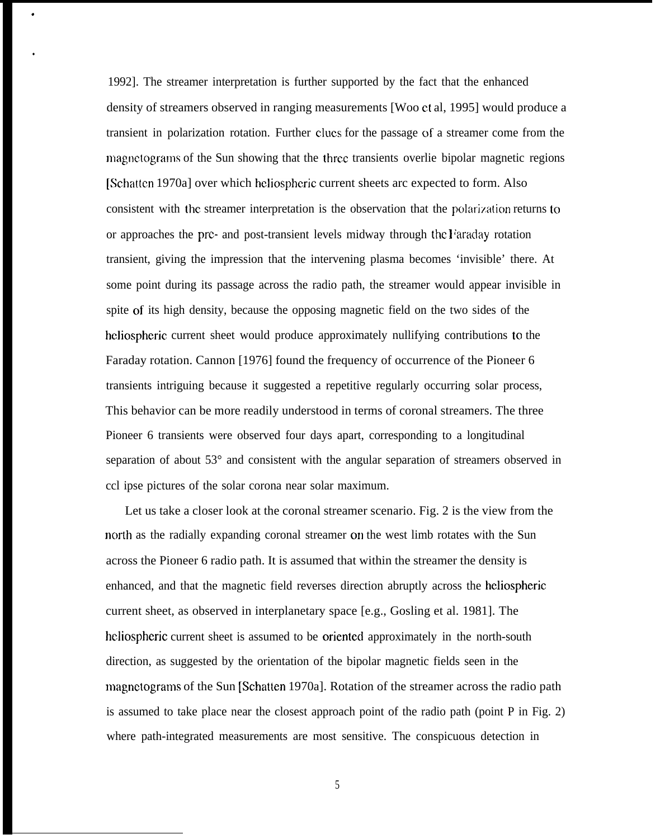1992]. The streamer interpretation is further supported by the fact that the enhanced density of streamers observed in ranging measurements [Woo et al, 1995] would produce a transient in polarization rotation. Further CIUCS for the passage of a streamer come from the magnetograms of the Sun showing that the three transients overlie bipolar magnetic regions [Schatten 1970a] over which heliospheric current sheets arc expected to form. Also consistent with the streamer interpretation is the observation that the polarization returns to or approaches the prc- and post-transient levels midway through the Faraday rotation transient, giving the impression that the intervening plasma becomes 'invisible' there. At some point during its passage across the radio path, the streamer would appear invisible in spite of its high density, because the opposing magnetic field on the two sides of the heliospheric current sheet would produce approximately nullifying contributions to the Faraday rotation. Cannon [1976] found the frequency of occurrence of the Pioneer 6 transients intriguing because it suggested a repetitive regularly occurring solar process, This behavior can be more readily understood in terms of coronal streamers. The three Pioneer 6 transients were observed four days apart, corresponding to a longitudinal separation of about 53° and consistent with the angular separation of streamers observed in ccl ipse pictures of the solar corona near solar maximum.

.

●

Let us take a closer look at the coronal streamer scenario. Fig. 2 is the view from the north as the radially expanding coronal streamer on the west limb rotates with the Sun across the Pioneer 6 radio path. It is assumed that within the streamer the density is enhanced, and that the magnetic field reverses direction abruptly across the heliospheric current sheet, as observed in interplanetary space [e.g., Gosling et al. 1981]. The heliospheric current sheet is assumed to be oriented approximately in the north-south direction, as suggested by the orientation of the bipolar magnetic fields seen in the magnctograms of the Sun [Schatten 1970a]. Rotation of the streamer across the radio path is assumed to take place near the closest approach point of the radio path (point P in Fig. 2) where path-integrated measurements are most sensitive. The conspicuous detection in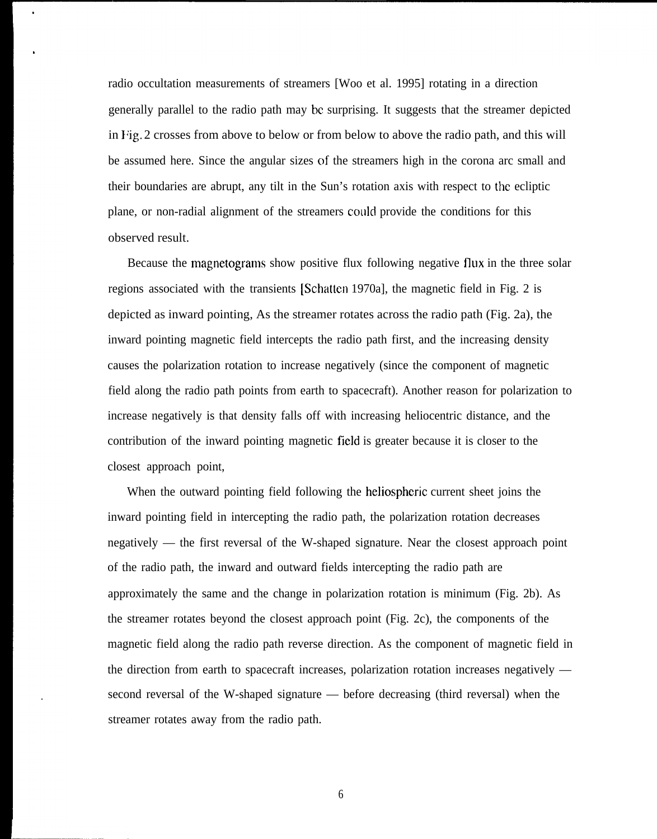radio occultation measurements of streamers [Woo et al. 1995] rotating in a direction generally parallel to the radio path may bc surprising. It suggests that the streamer depicted in Fig. 2 crosses from above to below or from below to above the radio path, and this will be assumed here. Since the angular sizes of the streamers high in the corona arc small and their boundaries are abrupt, any tilt in the Sun's rotation axis with respect to the ecliptic plane, or non-radial alignment of the streamers could provide the conditions for this observed result.

Because the magnetograms show positive flux following negative flux in the three solar regions associated with the transients [Schattcn 1970a], the magnetic field in Fig. 2 is depicted as inward pointing, As the streamer rotates across the radio path (Fig. 2a), the inward pointing magnetic field intercepts the radio path first, and the increasing density causes the polarization rotation to increase negatively (since the component of magnetic field along the radio path points from earth to spacecraft). Another reason for polarization to increase negatively is that density falls off with increasing heliocentric distance, and the contribution of the inward pointing magnetic field is greater because it is closer to the closest approach point,

When the outward pointing field following the heliospheric current sheet joins the inward pointing field in intercepting the radio path, the polarization rotation decreases negatively — the first reversal of the W-shaped signature. Near the closest approach point of the radio path, the inward and outward fields intercepting the radio path are approximately the same and the change in polarization rotation is minimum (Fig. 2b). As the streamer rotates beyond the closest approach point (Fig. 2c), the components of the magnetic field along the radio path reverse direction. As the component of magnetic field in the direction from earth to spacecraft increases, polarization rotation increases negatively second reversal of the W-shaped signature — before decreasing (third reversal) when the streamer rotates away from the radio path.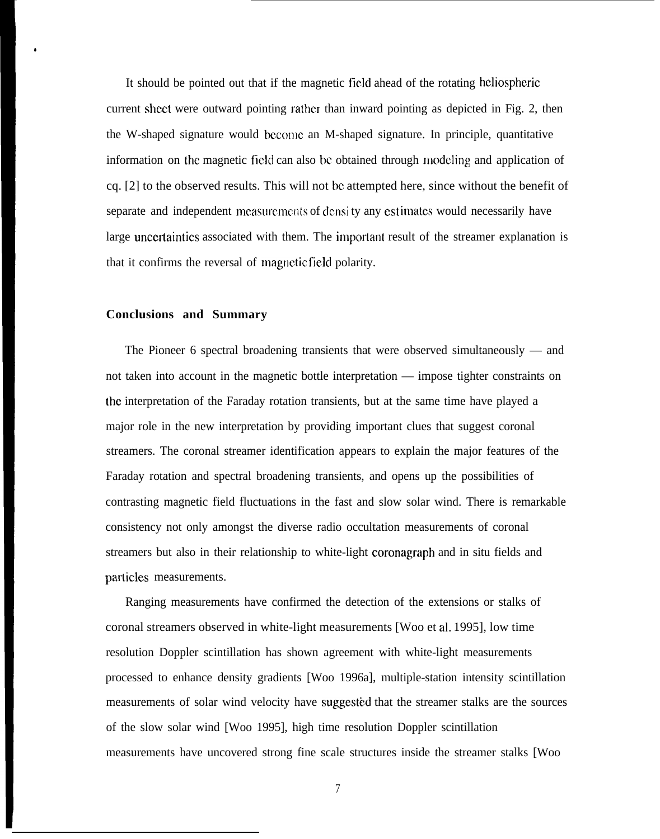It should be pointed out that if the magnetic field ahead of the rotating hcliospheric current sheet were outward pointing rather than inward pointing as depicted in Fig. 2, then the W-shaped signature would become an M-shaped signature. In principle, quantitative information on the magnetic field can also be obtained through modeling and application of cq. [2] to the observed results. This will not bc attempted here, since without the benefit of separate and independent measurements of densi ty any estimates would necessarily have large uncertaintics associated with them. The important result of the streamer explanation is that it confirms the reversal of magnetic field polarity.

#### **Conclusions and Summary**

,

The Pioneer 6 spectral broadening transients that were observed simultaneously — and not taken into account in the magnetic bottle interpretation — impose tighter constraints on the interpretation of the Faraday rotation transients, but at the same time have played a major role in the new interpretation by providing important clues that suggest coronal streamers. The coronal streamer identification appears to explain the major features of the Faraday rotation and spectral broadening transients, and opens up the possibilities of contrasting magnetic field fluctuations in the fast and slow solar wind. There is remarkable consistency not only amongst the diverse radio occultation measurements of coronal streamers but also in their relationship to white-light coronagraph and in situ fields and parlicles measurements.

Ranging measurements have confirmed the detection of the extensions or stalks of coronal streamers observed in white-light measurements [Woo et al. 1995], low time resolution Doppler scintillation has shown agreement with white-light measurements processed to enhance density gradients [Woo 1996a], multiple-station intensity scintillation measurements of solar wind velocity have suggested that the streamer stalks are the sources of the slow solar wind [Woo 1995], high time resolution Doppler scintillation measurements have uncovered strong fine scale structures inside the streamer stalks [Woo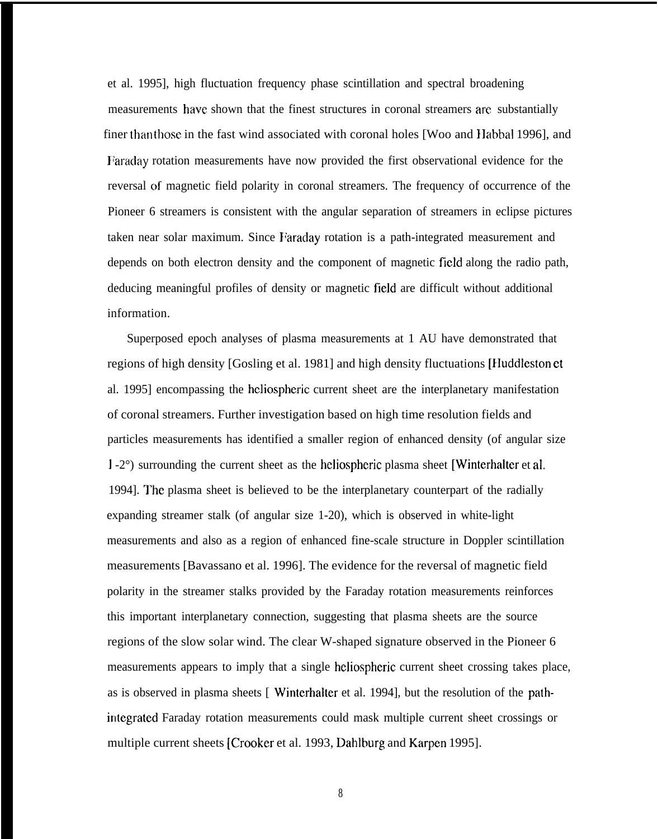et al. 1995], high fluctuation frequency phase scintillation and spectral broadening measurements have shown that the finest structures in coronal streamers are substantially finer than those in the fast wind associated with coronal holes [Woo and Habbal 1996], and Faraday rotation measurements have now provided the first observational evidence for the reversal of magnetic field polarity in coronal streamers. The frequency of occurrence of the Pioneer 6 streamers is consistent with the angular separation of streamers in eclipse pictures taken near solar maximum. Since Faraday rotation is a path-integrated measurement and depends on both electron density and the component of magnetic field along the radio path, deducing meaningful profiles of density or magnetic field are difficult without additional information.

Superposed epoch analyses of plasma measurements at 1 AU have demonstrated that regions of high density [Gosling et al. 1981] and high density fluctuations [Iluddlcston et al. 1995] encompassing the hcliospheric current sheet are the interplanetary manifestation of coronal streamers. Further investigation based on high time resolution fields and particles measurements has identified a smaller region of enhanced density (of angular size 1-2°) surrounding the current sheet as the heliospheric plasma sheet [Winterhalter et al. 1994]. The plasma sheet is believed to be the interplanetary counterpart of the radially expanding streamer stalk (of angular size 1-20), which is observed in white-light measurements and also as a region of enhanced fine-scale structure in Doppler scintillation measurements [Bavassano et al. 1996]. The evidence for the reversal of magnetic field polarity in the streamer stalks provided by the Faraday rotation measurements reinforces this important interplanetary connection, suggesting that plasma sheets are the source regions of the slow solar wind. The clear W-shaped signature observed in the Pioneer 6 measurements appears to imply that a single heliospheric current sheet crossing takes place, as is observed in plasma sheets [ Wintcrhalter et al. 1994], but the resolution of the pathintcgrated Faraday rotation measurements could mask multiple current sheet crossings or multiple current sheets [Crooker et al. 1993, Dahlburg and Karpen 1995].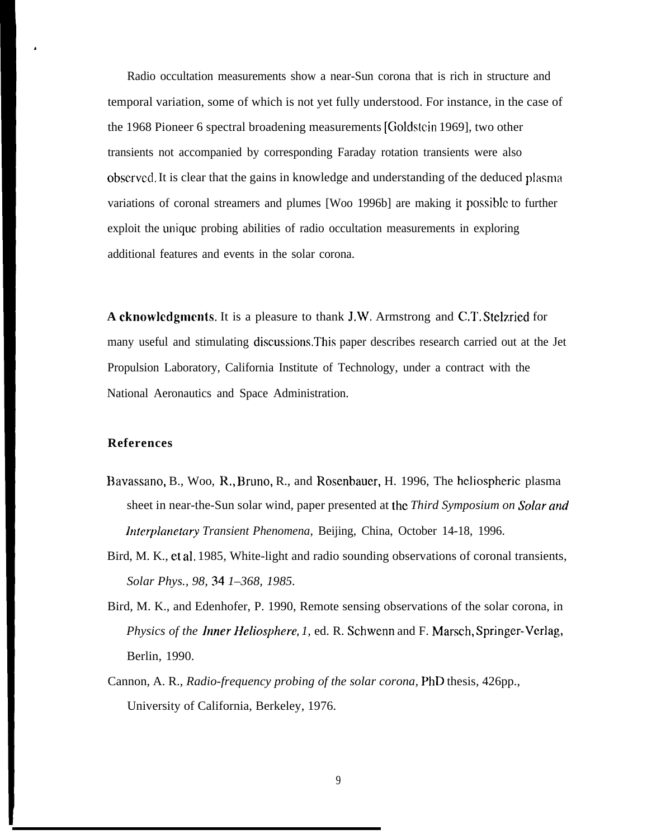Radio occultation measurements show a near-Sun corona that is rich in structure and temporal variation, some of which is not yet fully understood. For instance, in the case of the 1968 Pioneer 6 spectral broadening measurements [Cioldstcin 1969], two other transients not accompanied by corresponding Faraday rotation transients were also obscrved. It is clear that the gains in knowledge and understanding of the deduced plasma variations of coronal streamers and plumes [Woo 1996b] are making it possible to further exploit the unique probing abilities of radio occultation measurements in exploring additional features and events in the solar corona.

**A cknowlcdgmcnts.** It is a pleasure to thank J.W. Armstrong and C,T. Stelzried for many useful and stimulating discussions.This paper describes research carried out at the Jet Propulsion Laboratory, California Institute of Technology, under a contract with the National Aeronautics and Space Administration.

## **References**

,

- Bavassano, B., Woo, R,, Bruno, R., and Rosenbauer, H. 1996, The heliospheric plasma sheet in near-the-Sun solar wind, paper presented at the *Third Symposium on Solar and lntcrpkmctai-y Transient Phenomena,* Beijing, China, October 14-18, 1996.
- Bird, M. K., et al, 1985, White-light and radio sounding observations of coronal transients, *Solar Phys., 98, 34 1–368, 1985.*
- Bird, M. K., and Edenhofer, P. 1990, Remote sensing observations of the solar corona, in *Physics of the Inner Heliosphere, 1, ed. R. Schwenn and F. Marsch, Springer-Verlag,* Berlin, 1990.
- Cannon, A. R., *Radio-frequency probing of the solar corona,* PhD thesis, 426pp., University of California, Berkeley, 1976.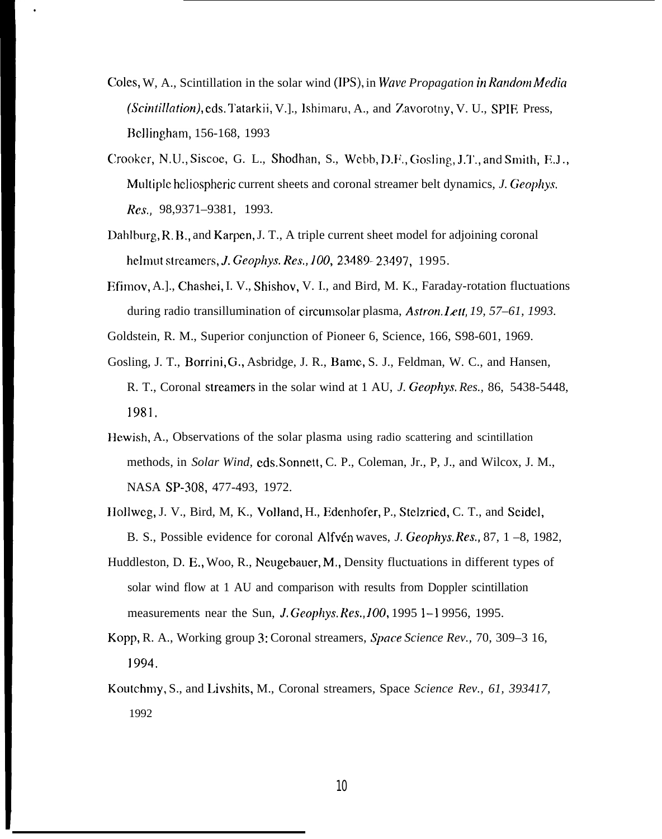Coles, W, A., Scintillation in the solar wind (II%), in *Wave Propagation in Random Media (Scin/i/)alion,),* eds. Tatarkii, V.]., ]Shimaru, A., and Zavorotny, V. U., SPIE Press, Bcl]ingham, 156-168, 1993

●

- Crooker, N.U., Siscoe, G. L., Shodhan, S., Webb, D.F., Gosling, J.T., and Smith, E.J., Multiple hcliospheric current sheets and coronal streamer belt dynamics, *J. Geophys. R(w,* 98,9371–9381, 1993.
- Dahlburg, R. B,, and Karpen, J. T., A triple current sheet model for adjoining coronal helmut streamers, *J. Geophys. Res., 100*, 23489- 23497, 1995.
- Flfimov, A.]., Chashei, I. V., Shishov, V. I., and Bird, M. K., Faraday-rotation fluctuations during radio transillumination of circumsolar plasma, *Astron. Iztt, 19, 57–61, 1993.*
- Goldstein, R. M., Superior conjunction of Pioneer 6, Science, 166, S98-601, 1969.
- Gosling, J. T., Borrini, G., Asbridge, J. R., Bame, S. J., Feldman, W. C., and Hansen, R. T., Coronal streatncrs in the solar wind at 1 AU, *J. Geophys. Res.,* 86, 5438-5448, 1981.
- Hewish, A., Observations of the solar plasma using radio scattering and scintillation methods, in *Solar Wind,* cds. Sonnett, C. P., Coleman, Jr., P, J., and Wilcox, J. M., NASA SP-308, 477-493, 1972.
- Hollweg, J. V., Bird, M, K., Volland, H., Edenhofer, P., Stelzried, C. T., and Seidel, B. S., Possible evidence for coronal Alfw% waves, *J. Geophys. Res,,* 87, 1 –8, 1982,
- Huddleston, D. E,, Woo, R., Neugebauer, M,, Density fluctuations in different types of solar wind flow at 1 AU and comparison with results from Doppler scintillation measurements near the Sun, J. Geophys, Res., 100, 1995 1–1 9956, 1995.
- Kopp, R. A., Working group 3: Coronal streamers, *Space Science Rev.,* 70, 309–3 16, 1994.
- Koutchmy, S., and Livshits, M., Coronal streamers, Space *Science Rev., 61, 393417,* 1992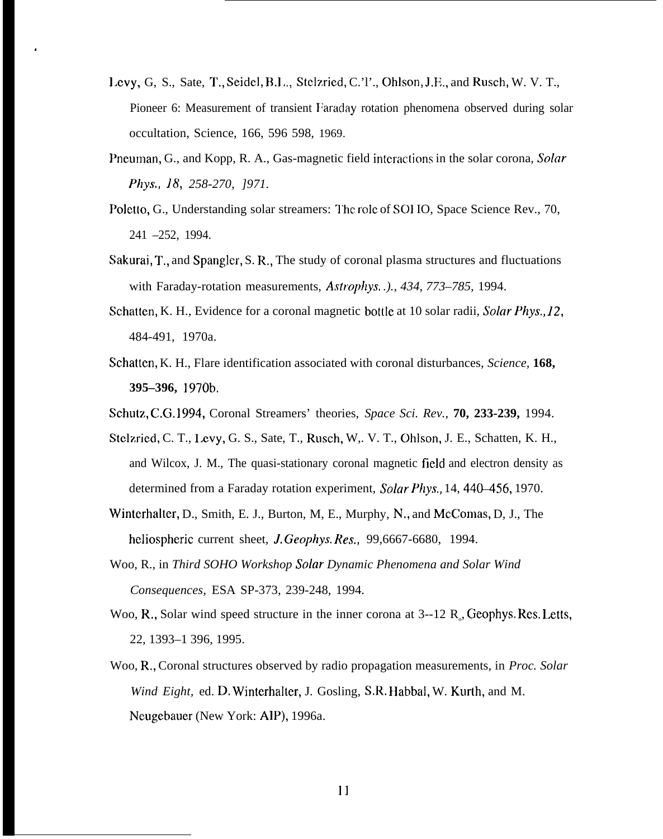- Levy, G, S., Sate, T., Seidel, B.L., Stelzried, C.'l'., Ohlson, J.E., and Rusch, W. V. T., Pioneer 6: Measurement of transient Faraday rotation phenomena observed during solar occultation, Science, 166, 596 598, 1969.
- Pneuman, G., and Kopp, R. A., Gas-magnetic field interactions in the solar corona, *Solar* **Phys., 18,** *258-270, ]971.*
- Poletto, G., Understanding solar streamers: The role of SOHO, Space Science Rev., 70, 241 –252, 1994.
- Sakurai, T,, and Spangler, S. R,, The study of coronal plasma structures and fluctuations with Faraday-rotation measurements, *Astrophys. .)., 434, 773–785,* 1994.
- Schatten, K. H., Evidence for a coronal magnetic bottle at 10 solar radii, *Solar Phys.,* 12, 484-491, 1970a.
- Schattcn, K. H., Flare identification associated with coronal disturbances, *Science,* **168, 395–396,** 1970b,
- Schutz, C,G, 1994, Coronal Streamers' theories, *Space Sci. Rev.,* **70, 233-239,** 1994.
- Stclzried, C. T., I.evy, G. S., Sate, T., Rusch, W,. V. T., Ohlson, J. E., Schatten, K. H., and Wilcox, J. M., The quasi-stationary coronal magnetic field and electron density as determined from a Faraday rotation experiment, *Solar Phys.*, 14, 440–456, 1970.
- Winterhalter, D., Smith, E. J., Burton, M, E., Murphy, N., and McComas, D, J., The heliospheric current sheet, *J. Geophys. Res.*, 99,6667-6680, 1994.
- Woo, R., in *Third SOHO Workshop Solar Dynamic Phenomena and Solar Wind Consequences,* ESA SP-373, 239-248, 1994.
- Woo, R., Solar wind speed structure in the inner corona at 3--12 R<sub>o</sub>, Geophys. Res. Letts, 22, 1393–1 396, 1995.
- Woo, R,, Coronal structures observed by radio propagation measurements, in *Proc. Solar Wind Eight,* ed. D. Winterhalter, J. Gosling, S.R. Habbal, W. Kurth, and M. Neugebauer (New York: AIP), 1996a.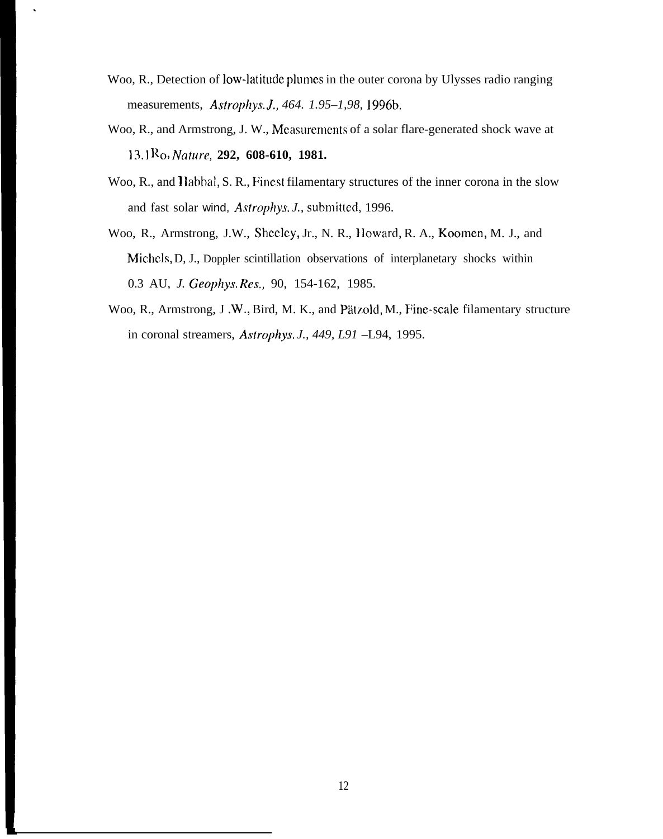- Woo, R., Detection of low-latitude plumes in the outer corona by Ulysses radio ranging measurements, *Astrophys, J,, 464. 1.95–1,98, 1996b,*
- Woo, R., and Armstrong, J. W., Mcasurcmcmts of a solar flare-generated shock wave at 13.1 Ro, *Nature,* **292, 608-610, 1981.**
- Woo, R., and Habbal, S. R., Finest filamentary structures of the inner corona in the slow and fast solar wind, *Astrophys. J.*, submitted, 1996.
- Woo, R., Armstrong, J.W., Shcclcy, Jr., N. R., }Ioward, R. A., Koomen, M. J., and Michcls, D, J., Doppler scintillation observations of interplanetary shocks within 0.3 AU, *J. Geophys. Res.,* 90, 154-162, 1985.
- Woo, R., Armstrong, J.W., Bird, M. K., and Pätzold, M., Fine-scale filamentary structure in coronal streamers, *Astrophys, J., 449, L91* –L94, 1995.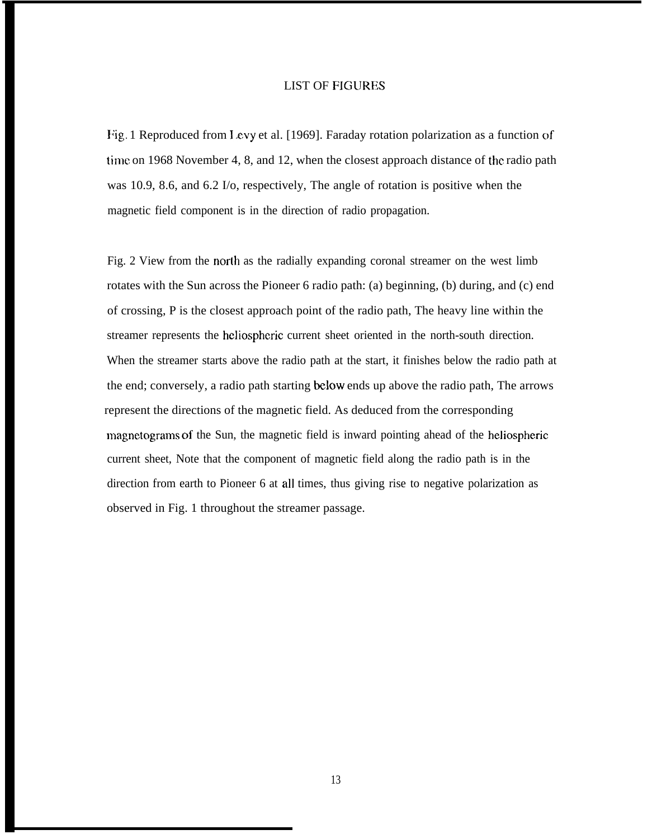### LIST OF FIGURES

Fig. 1 Reproduced from Levy et al. [1969]. Faraday rotation polarization as a function of time on 1968 November 4, 8, and 12, when the closest approach distance of the radio path was 10.9, 8.6, and 6.2 I/o, respectively, The angle of rotation is positive when the magnetic field component is in the direction of radio propagation.

Fig. 2 View from the north as the radially expanding coronal streamer on the west limb rotates with the Sun across the Pioneer 6 radio path: (a) beginning, (b) during, and (c) end of crossing, P is the closest approach point of the radio path, The heavy line within the streamer represents the hcliospheric current sheet oriented in the north-south direction. When the streamer starts above the radio path at the start, it finishes below the radio path at the end; conversely, a radio path starting below ends up above the radio path, The arrows represent the directions of the magnetic field. As deduced from the corresponding magnetograms of the Sun, the magnetic field is inward pointing ahead of the heliospheric current sheet, Note that the component of magnetic field along the radio path is in the direction from earth to Pioneer 6 at all times, thus giving rise to negative polarization as observed in Fig. 1 throughout the streamer passage.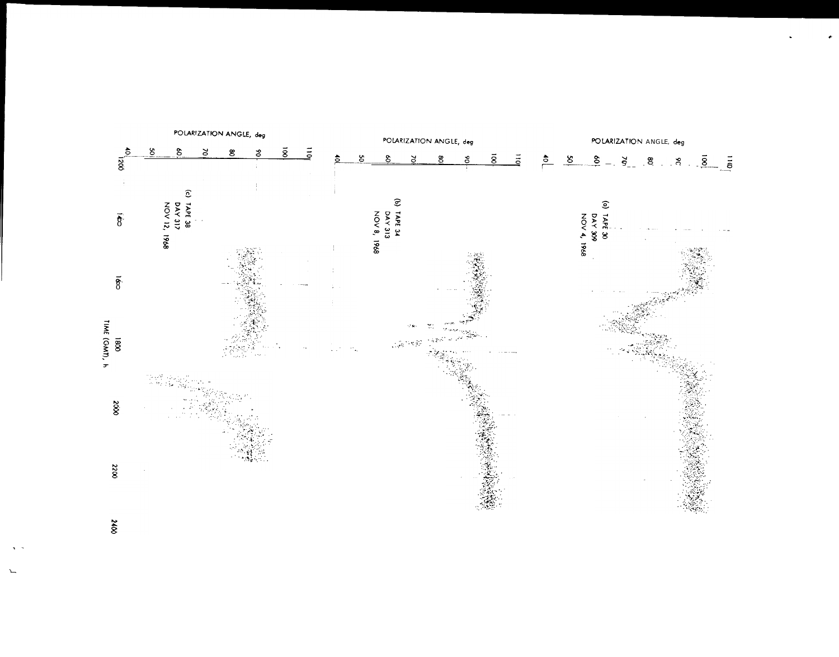

 $\infty$ 

.-

L